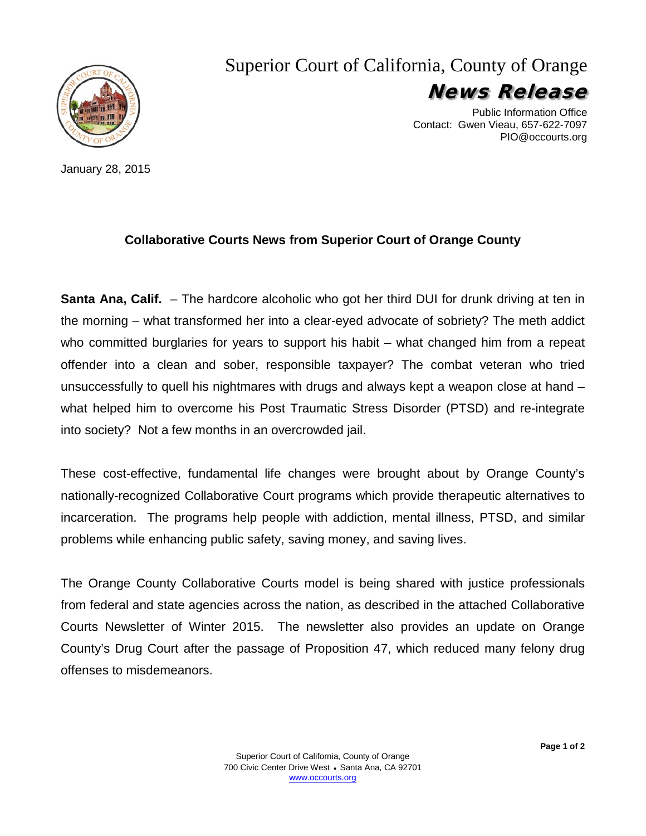

Superior Court of California, County of Orange News Release

> Public Information Office Contact: Gwen Vieau, 657-622-7097 PIO@occourts.org

January 28, 2015

#### **Collaborative Courts News from Superior Court of Orange County**

**Santa Ana, Calif.** – The hardcore alcoholic who got her third DUI for drunk driving at ten in the morning – what transformed her into a clear-eyed advocate of sobriety? The meth addict who committed burglaries for years to support his habit – what changed him from a repeat offender into a clean and sober, responsible taxpayer? The combat veteran who tried unsuccessfully to quell his nightmares with drugs and always kept a weapon close at hand – what helped him to overcome his Post Traumatic Stress Disorder (PTSD) and re-integrate into society? Not a few months in an overcrowded jail.

These cost-effective, fundamental life changes were brought about by Orange County's nationally-recognized Collaborative Court programs which provide therapeutic alternatives to incarceration. The programs help people with addiction, mental illness, PTSD, and similar problems while enhancing public safety, saving money, and saving lives.

The Orange County Collaborative Courts model is being shared with justice professionals from federal and state agencies across the nation, as described in the attached Collaborative Courts Newsletter of Winter 2015. The newsletter also provides an update on Orange County's Drug Court after the passage of Proposition 47, which reduced many felony drug offenses to misdemeanors.